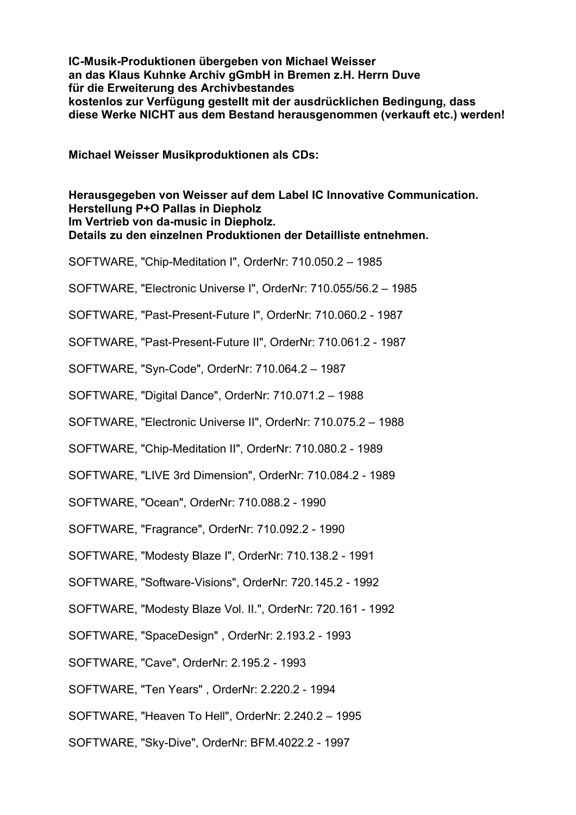**IC-Musik-Produktionen übergeben von Michael Weisser an das Klaus Kuhnke Archiv gGmbH in Bremen z.H. Herrn Duve für die Erweiterung des Archivbestandes kostenlos zur Verfügung gestellt mit der ausdrücklichen Bedingung, dass diese Werke NICHT aus dem Bestand herausgenommen (verkauft etc.) werden!**

**Michael Weisser Musikproduktionen als CDs:**

**Herausgegeben von Weisser auf dem Label IC Innovative Communication. Herstellung P+O Pallas in Diepholz Im Vertrieb von da-music in Diepholz. Details zu den einzelnen Produktionen der Detailliste entnehmen.**

SOFTWARE, "Chip-Meditation I", OrderNr: 710.050.2 – 1985

SOFTWARE, "Electronic Universe I", OrderNr: 710.055/56.2 – 1985

SOFTWARE, "Past-Present-Future I", OrderNr: 710.060.2 - 1987

SOFTWARE, "Past-Present-Future II", OrderNr: 710.061.2 - 1987

SOFTWARE, "Syn-Code", OrderNr: 710.064.2 – 1987

SOFTWARE, "Digital Dance", OrderNr: 710.071.2 – 1988

SOFTWARE, "Electronic Universe II", OrderNr: 710.075.2 – 1988

SOFTWARE, "Chip-Meditation II", OrderNr: 710.080.2 - 1989

SOFTWARE, "LIVE 3rd Dimension", OrderNr: 710.084.2 - 1989

SOFTWARE, "Ocean", OrderNr: 710.088.2 - 1990

SOFTWARE, "Fragrance", OrderNr: 710.092.2 - 1990

SOFTWARE, "Modesty Blaze I", OrderNr: 710.138.2 - 1991

SOFTWARE, "Software-Visions", OrderNr: 720.145.2 - 1992

SOFTWARE, "Modesty Blaze Vol. II.", OrderNr: 720.161 - 1992

SOFTWARE, "SpaceDesign" , OrderNr: 2.193.2 - 1993

SOFTWARE, "Cave", OrderNr: 2.195.2 - 1993

SOFTWARE, "Ten Years" , OrderNr: 2.220.2 - 1994

SOFTWARE, "Heaven To Hell", OrderNr: 2.240.2 – 1995

SOFTWARE, "Sky-Dive", OrderNr: BFM.4022.2 - 1997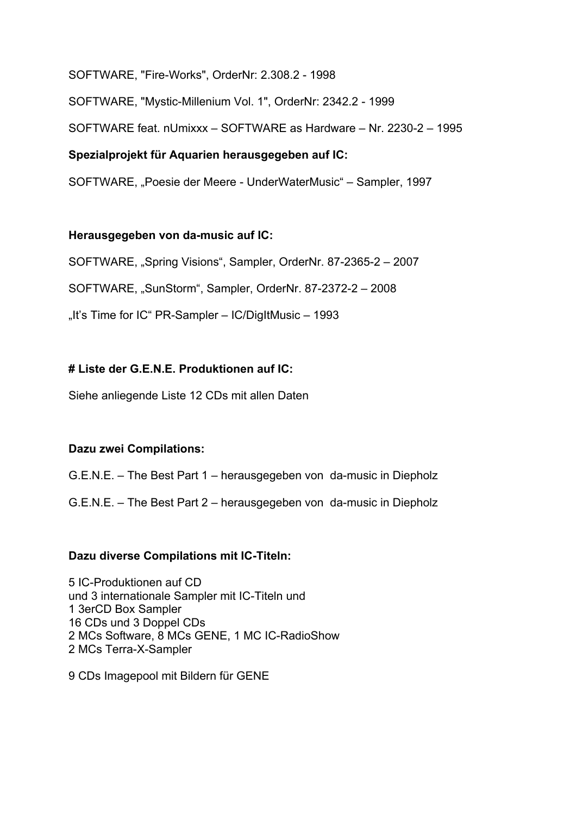SOFTWARE, "Fire-Works", OrderNr: 2.308.2 - 1998

SOFTWARE, "Mystic-Millenium Vol. 1", OrderNr: 2342.2 - 1999

SOFTWARE feat. nUmixxx – SOFTWARE as Hardware – Nr. 2230-2 – 1995

# **Spezialprojekt für Aquarien herausgegeben auf IC:**

SOFTWARE, "Poesie der Meere - UnderWaterMusic" – Sampler, 1997

# **Herausgegeben von da-music auf IC:**

SOFTWARE, "Spring Visions", Sampler, OrderNr. 87-2365-2 – 2007

SOFTWARE, "SunStorm", Sampler, OrderNr. 87-2372-2 – 2008

"It's Time for IC" PR-Sampler  $-$  IC/DigItMusic  $-$  1993

# **# Liste der G.E.N.E. Produktionen auf IC:**

Siehe anliegende Liste 12 CDs mit allen Daten

# **Dazu zwei Compilations:**

G.E.N.E. – The Best Part 1 – herausgegeben von da-music in Diepholz

G.E.N.E. – The Best Part 2 – herausgegeben von da-music in Diepholz

## **Dazu diverse Compilations mit IC-Titeln:**

5 IC-Produktionen auf CD und 3 internationale Sampler mit IC-Titeln und 1 3erCD Box Sampler 16 CDs und 3 Doppel CDs 2 MCs Software, 8 MCs GENE, 1 MC IC-RadioShow 2 MCs Terra-X-Sampler

9 CDs Imagepool mit Bildern für GENE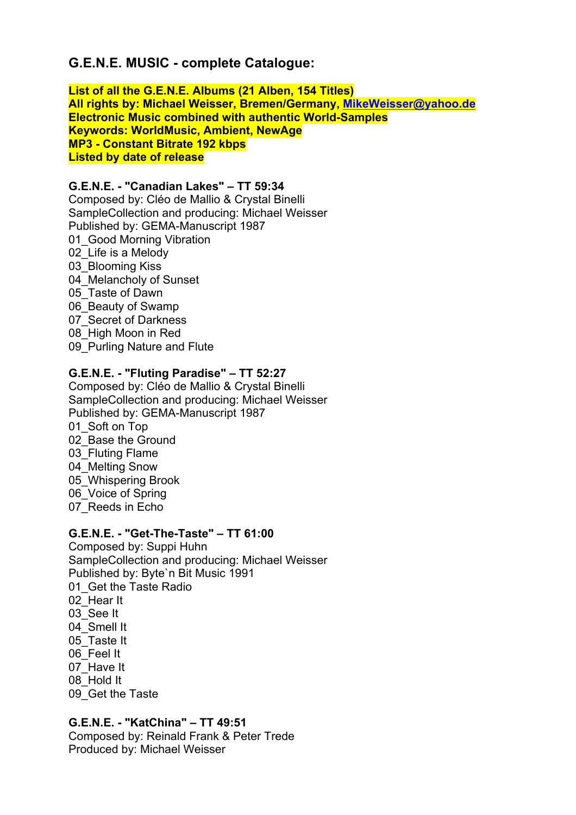# **G.E.N.E. MUSIC - complete Catalogue:**

**List of all the G.E.N.E. Albums (21 Alben, 154 Titles) All rights by: Michael Weisser, Bremen/Germany, MikeWeisser@yahoo.de Electronic Music combined with authentic World-Samples Keywords: WorldMusic, Ambient, NewAge MP3 - Constant Bitrate 192 kbps Listed by date of release** 

## **G.E.N.E. - "Canadian Lakes" – TT 59:34** Composed by: Cléo de Mallio & Crystal Binelli SampleCollection and producing: Michael Weisser Published by: GEMA-Manuscript 1987 01 Good Morning Vibration 02 Life is a Melody

03 Blooming Kiss 04 Melancholy of Sunset 05\_Taste of Dawn 06\_Beauty of Swamp 07 Secret of Darkness 08\_High Moon in Red 09 Purling Nature and Flute

# **G.E.N.E. - "Fluting Paradise" – TT 52:27**

Composed by: Cléo de Mallio & Crystal Binelli SampleCollection and producing: Michael Weisser Published by: GEMA-Manuscript 1987 01 Soft on Top 02 Base the Ground 03 Fluting Flame 04<sup>Melting Snow</sup> 05 Whispering Brook 06\_Voice of Spring 07\_Reeds in Echo

## **G.E.N.E. - "Get-The-Taste" – TT 61:00**

Composed by: Suppi Huhn SampleCollection and producing: Michael Weisser Published by: Byte`n Bit Music 1991 01 Get the Taste Radio 02\_Hear It 03\_See It 04 Smell It 05 Taste It 06\_Feel It 07\_Have It 08\_Hold It 09\_Get the Taste

# **G.E.N.E. - "KatChina" – TT 49:51**

Composed by: Reinald Frank & Peter Trede Produced by: Michael Weisser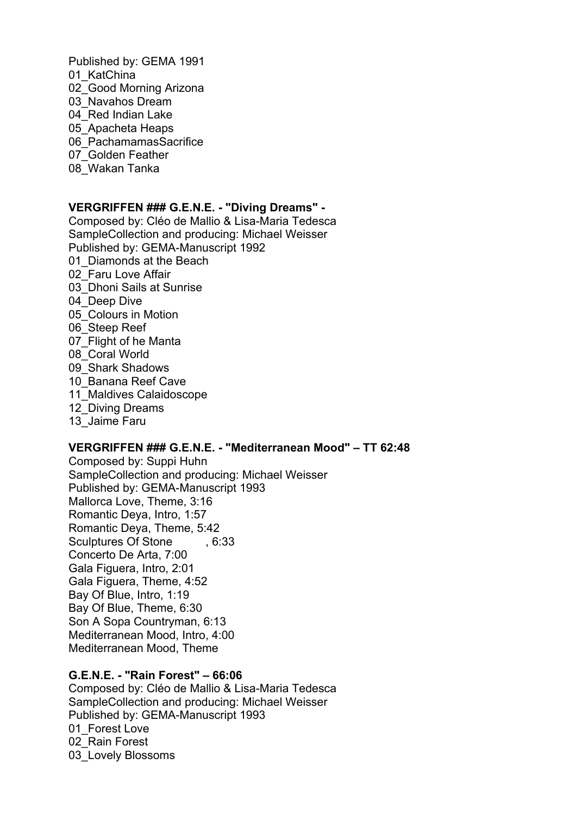Published by: GEMA 1991 01 KatChina 02 Good Morning Arizona 03\_Navahos Dream 04 Red Indian Lake 05\_Apacheta Heaps 06\_PachamamasSacrifice 07 Golden Feather 08\_Wakan Tanka

#### **VERGRIFFEN ### G.E.N.E. - "Diving Dreams" -**

Composed by: Cléo de Mallio & Lisa-Maria Tedesca SampleCollection and producing: Michael Weisser Published by: GEMA-Manuscript 1992 01 Diamonds at the Beach 02\_Faru Love Affair 03\_Dhoni Sails at Sunrise 04 Deep Dive 05\_Colours in Motion 06\_Steep Reef 07\_Flight of he Manta 08\_Coral World 09\_Shark Shadows 10 Banana Reef Cave 11 Maldives Calaidoscope 12 Diving Dreams 13 Jaime Faru

## **VERGRIFFEN ### G.E.N.E. - "Mediterranean Mood" – TT 62:48**

Composed by: Suppi Huhn SampleCollection and producing: Michael Weisser Published by: GEMA-Manuscript 1993 Mallorca Love, Theme, 3:16 Romantic Deya, Intro, 1:57 Romantic Deya, Theme, 5:42 Sculptures Of Stone , 6:33 Concerto De Arta, 7:00 Gala Figuera, Intro, 2:01 Gala Figuera, Theme, 4:52 Bay Of Blue, Intro, 1:19 Bay Of Blue, Theme, 6:30 Son A Sopa Countryman, 6:13 Mediterranean Mood, Intro, 4:00 Mediterranean Mood, Theme

## **G.E.N.E. - "Rain Forest" – 66:06**

Composed by: Cléo de Mallio & Lisa-Maria Tedesca SampleCollection and producing: Michael Weisser Published by: GEMA-Manuscript 1993 01 Forest Love 02\_Rain Forest 03 Lovely Blossoms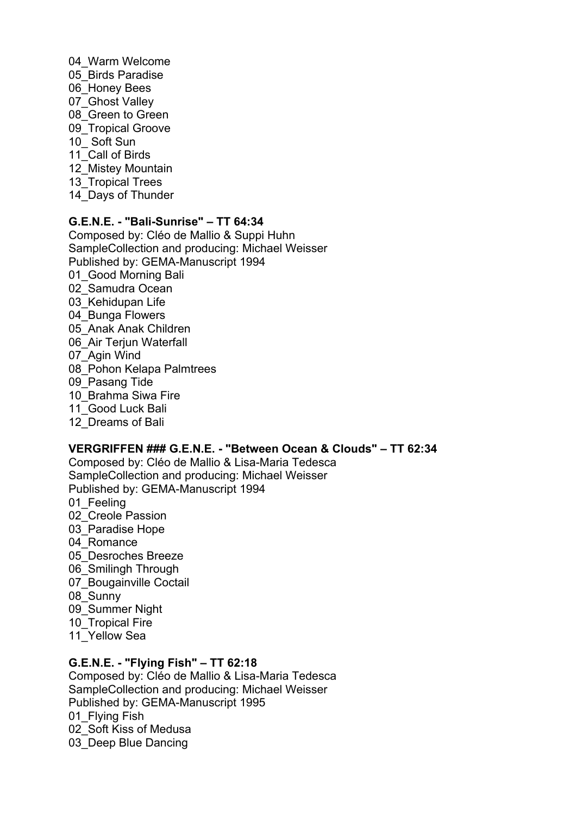04\_Warm Welcome 05\_Birds Paradise 06 Honey Bees 07\_Ghost Valley 08 Green to Green 09 Tropical Groove 10\_ Soft Sun 11 Call of Birds 12 Mistey Mountain 13 Tropical Trees 14 Days of Thunder

# **G.E.N.E. - "Bali-Sunrise" – TT 64:34**

Composed by: Cléo de Mallio & Suppi Huhn SampleCollection and producing: Michael Weisser Published by: GEMA-Manuscript 1994 01 Good Morning Bali 02 Samudra Ocean 03 Kehidupan Life 04\_Bunga Flowers 05\_Anak Anak Children 06 Air Terjun Waterfall 07\_Agin Wind 08 Pohon Kelapa Palmtrees 09 Pasang Tide 10\_Brahma Siwa Fire 11 Good Luck Bali 12\_Dreams of Bali

## **VERGRIFFEN ### G.E.N.E. - "Between Ocean & Clouds" – TT 62:34**

Composed by: Cléo de Mallio & Lisa-Maria Tedesca SampleCollection and producing: Michael Weisser Published by: GEMA-Manuscript 1994 01 Feeling 02 Creole Passion 03\_Paradise Hope 04 Romance 05 Desroches Breeze 06\_Smilingh Through 07 Bougainville Coctail 08\_Sunny 09\_Summer Night 10 Tropical Fire 11 Yellow Sea

## **G.E.N.E. - "Flying Fish" – TT 62:18**

Composed by: Cléo de Mallio & Lisa-Maria Tedesca SampleCollection and producing: Michael Weisser Published by: GEMA-Manuscript 1995 01 Flying Fish 02\_Soft Kiss of Medusa 03 Deep Blue Dancing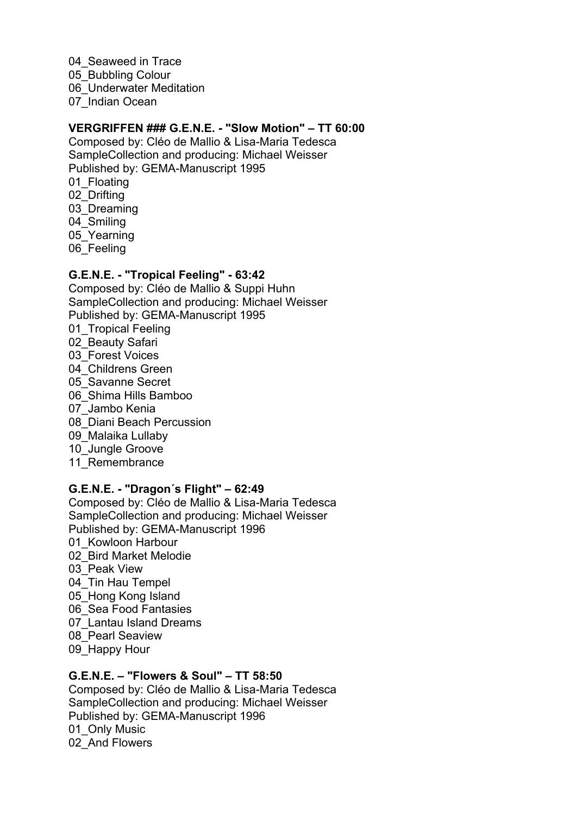04 Seaweed in Trace 05 Bubbling Colour 06 Underwater Meditation 07\_Indian Ocean

#### **VERGRIFFEN ### G.E.N.E. - "Slow Motion" – TT 60:00**

Composed by: Cléo de Mallio & Lisa-Maria Tedesca SampleCollection and producing: Michael Weisser Published by: GEMA-Manuscript 1995 01 Floating 02\_Drifting 03 Dreaming 04 Smiling 05 Yearning 06 Feeling

#### **G.E.N.E. - "Tropical Feeling" - 63:42**

Composed by: Cléo de Mallio & Suppi Huhn SampleCollection and producing: Michael Weisser Published by: GEMA-Manuscript 1995 01 Tropical Feeling 02\_Beauty Safari 03\_Forest Voices 04 Childrens Green 05 Savanne Secret 06\_Shima Hills Bamboo 07\_Jambo Kenia 08\_Diani Beach Percussion 09 Malaika Lullaby 10 Jungle Groove 11 Remembrance

## **G.E.N.E. - "Dragon´s Flight" – 62:49**

Composed by: Cléo de Mallio & Lisa-Maria Tedesca SampleCollection and producing: Michael Weisser Published by: GEMA-Manuscript 1996 01 Kowloon Harbour 02\_Bird Market Melodie 03 Peak View 04 Tin Hau Tempel 05 Hong Kong Island 06\_Sea Food Fantasies 07\_Lantau Island Dreams 08\_Pearl Seaview 09 Happy Hour

# **G.E.N.E. – "Flowers & Soul" – TT 58:50**

Composed by: Cléo de Mallio & Lisa-Maria Tedesca SampleCollection and producing: Michael Weisser Published by: GEMA-Manuscript 1996 01 Only Music 02 And Flowers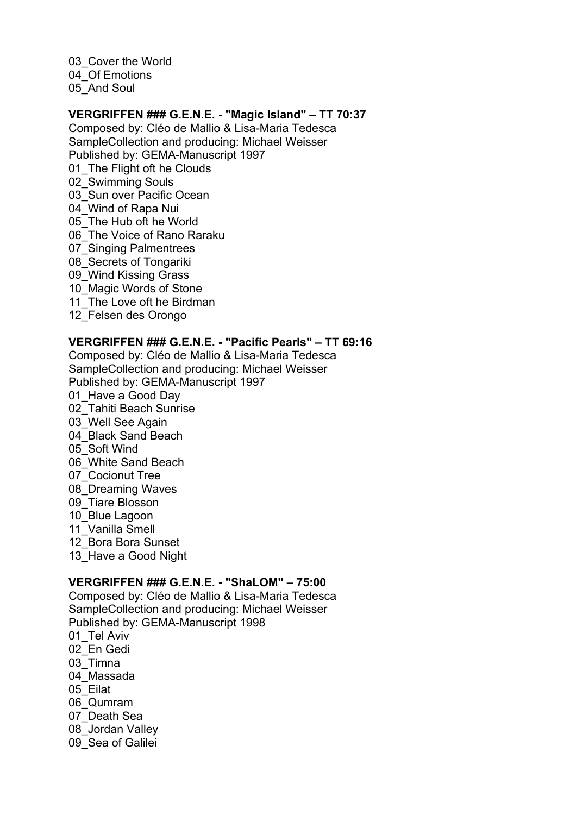03 Cover the World 04 Of Emotions 05 And Soul

#### **VERGRIFFEN ### G.E.N.E. - "Magic Island" – TT 70:37**

Composed by: Cléo de Mallio & Lisa-Maria Tedesca SampleCollection and producing: Michael Weisser Published by: GEMA-Manuscript 1997 01 The Flight oft he Clouds 02\_Swimming Souls 03 Sun over Pacific Ocean 04\_Wind of Rapa Nui 05 The Hub oft he World 06 The Voice of Rano Raraku 07 Singing Palmentrees 08 Secrets of Tongariki 09\_Wind Kissing Grass 10 Magic Words of Stone 11 The Love oft he Birdman 12\_Felsen des Orongo

# **VERGRIFFEN ### G.E.N.E. - "Pacific Pearls" – TT 69:16**

Composed by: Cléo de Mallio & Lisa-Maria Tedesca SampleCollection and producing: Michael Weisser Published by: GEMA-Manuscript 1997 01 Have a Good Day 02\_Tahiti Beach Sunrise 03 Well See Again 04 Black Sand Beach 05\_Soft Wind 06\_White Sand Beach 07\_Cocionut Tree 08\_Dreaming Waves 09\_Tiare Blosson 10\_Blue Lagoon 11\_Vanilla Smell 12\_Bora Bora Sunset 13 Have a Good Night

#### **VERGRIFFEN ### G.E.N.E. - "ShaLOM" – 75:00**

Composed by: Cléo de Mallio & Lisa-Maria Tedesca SampleCollection and producing: Michael Weisser Published by: GEMA-Manuscript 1998 01 Tel Aviv 02\_En Gedi 03\_Timna 04\_Massada 05\_Eilat 06\_Qumram 07\_Death Sea 08\_Jordan Valley 09 Sea of Galilei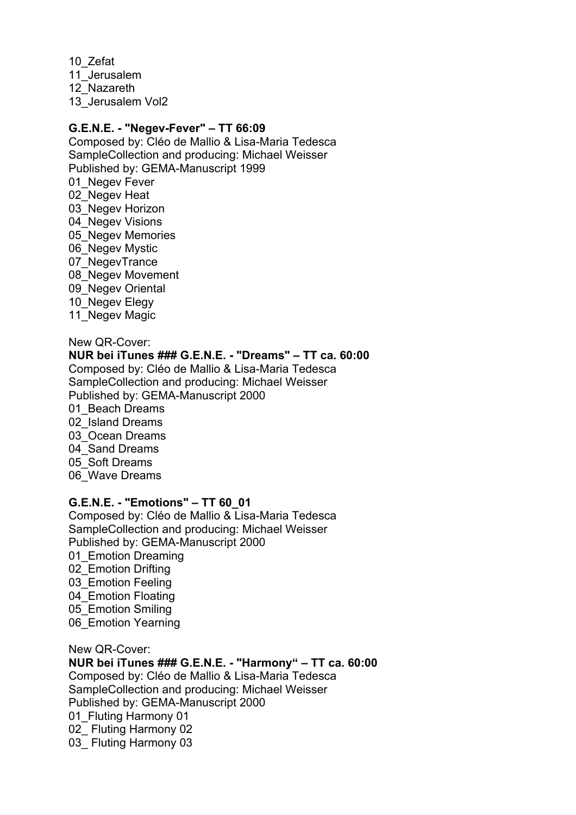10\_Zefat 11\_Jerusalem 12\_Nazareth 13\_Jerusalem Vol2

#### **G.E.N.E. - "Negev-Fever" – TT 66:09**

Composed by: Cléo de Mallio & Lisa-Maria Tedesca SampleCollection and producing: Michael Weisser Published by: GEMA-Manuscript 1999 01 Negev Fever 02 Negev Heat 03 Negev Horizon 04 Negev Visions 05 Negev Memories 06 Negev Mystic 07 NegevTrance 08 Negev Movement 09 Negev Oriental 10 Negev Elegy 11 Negev Magic

New QR-Cover: **NUR bei iTunes ### G.E.N.E. - "Dreams" – TT ca. 60:00** Composed by: Cléo de Mallio & Lisa-Maria Tedesca SampleCollection and producing: Michael Weisser Published by: GEMA-Manuscript 2000 01 Beach Dreams 02\_Island Dreams 03\_Ocean Dreams 04 Sand Dreams 05\_Soft Dreams 06\_Wave Dreams

#### **G.E.N.E. - "Emotions" – TT 60\_01**

Composed by: Cléo de Mallio & Lisa-Maria Tedesca SampleCollection and producing: Michael Weisser Published by: GEMA-Manuscript 2000 01 Emotion Dreaming 02\_Emotion Drifting 03 Emotion Feeling 04 Emotion Floating 05 Emotion Smiling 06 Emotion Yearning

New QR-Cover:

**NUR bei iTunes ### G.E.N.E. - "Harmony" – TT ca. 60:00**  Composed by: Cléo de Mallio & Lisa-Maria Tedesca SampleCollection and producing: Michael Weisser Published by: GEMA-Manuscript 2000 01 Fluting Harmony 01 02 Fluting Harmony 02 03 Fluting Harmony 03